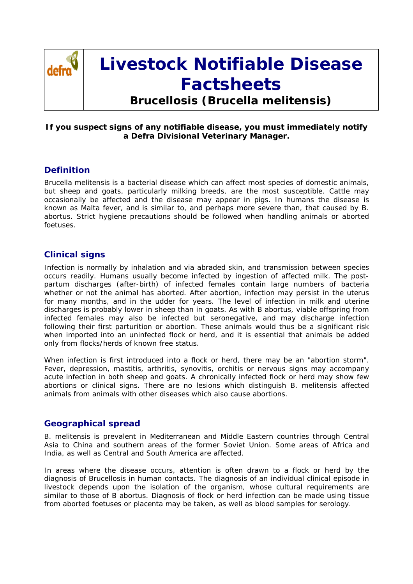

# **Livestock Notifiable Disease Factsheets**

**Brucellosis (***Brucella melitensis***)**

#### **If you suspect signs of any notifiable disease, you must immediately notify a Defra Divisional Veterinary Manager.**

## **Definition**

Brucella melitensis is a bacterial disease which can affect most species of domestic animals, but sheep and goats, particularly milking breeds, are the most susceptible. Cattle may occasionally be affected and the disease may appear in pigs. In humans the disease is known as Malta fever, and is similar to, and perhaps more severe than, that caused by B. abortus. Strict hygiene precautions should be followed when handling animals or aborted foetuses.

## **Clinical signs**

Infection is normally by inhalation and via abraded skin, and transmission between species occurs readily. Humans usually become infected by ingestion of affected milk. The postpartum discharges (after-birth) of infected females contain large numbers of bacteria whether or not the animal has aborted. After abortion, infection may persist in the uterus for many months, and in the udder for years. The level of infection in milk and uterine discharges is probably lower in sheep than in goats. As with B abortus, viable offspring from infected females may also be infected but seronegative, and may discharge infection following their first parturition or abortion. These animals would thus be a significant risk when imported into an uninfected flock or herd, and it is essential that animals be added only from flocks/herds of known free status.

When infection is first introduced into a flock or herd, there may be an "abortion storm". Fever, depression, mastitis, arthritis, synovitis, orchitis or nervous signs may accompany acute infection in both sheep and goats. A chronically infected flock or herd may show few abortions or clinical signs. There are no lesions which distinguish B. melitensis affected animals from animals with other diseases which also cause abortions.

#### **Geographical spread**

B. melitensis is prevalent in Mediterranean and Middle Eastern countries through Central Asia to China and southern areas of the former Soviet Union. Some areas of Africa and India, as well as Central and South America are affected.

In areas where the disease occurs, attention is often drawn to a flock or herd by the diagnosis of Brucellosis in human contacts. The diagnosis of an individual clinical episode in livestock depends upon the isolation of the organism, whose cultural requirements are similar to those of B abortus. Diagnosis of flock or herd infection can be made using tissue from aborted foetuses or placenta may be taken, as well as blood samples for serology.